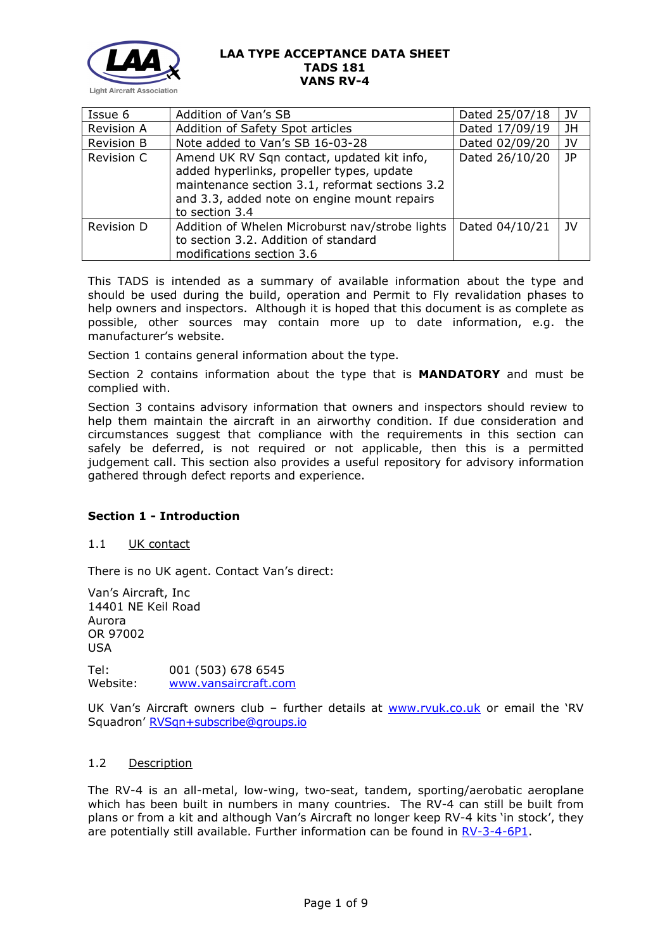

| Issue 6           | Addition of Van's SB                                                                                                                                                                                       | Dated 25/07/18 | JV   |
|-------------------|------------------------------------------------------------------------------------------------------------------------------------------------------------------------------------------------------------|----------------|------|
| <b>Revision A</b> | Addition of Safety Spot articles                                                                                                                                                                           | Dated 17/09/19 | JН   |
| Revision B        | Note added to Van's SB 16-03-28                                                                                                                                                                            | Dated 02/09/20 | JV   |
| Revision C        | Amend UK RV Sqn contact, updated kit info,<br>added hyperlinks, propeller types, update<br>maintenance section 3.1, reformat sections 3.2<br>and 3.3, added note on engine mount repairs<br>to section 3.4 | Dated 26/10/20 | JP   |
| Revision D        | Addition of Whelen Microburst nav/strobe lights<br>to section 3.2. Addition of standard<br>modifications section 3.6                                                                                       | Dated 04/10/21 | - 1V |

This TADS is intended as a summary of available information about the type and should be used during the build, operation and Permit to Fly revalidation phases to help owners and inspectors. Although it is hoped that this document is as complete as possible, other sources may contain more up to date information, e.g. the manufacturer's website.

Section 1 contains general information about the type.

Section 2 contains information about the type that is **MANDATORY** and must be complied with.

Section 3 contains advisory information that owners and inspectors should review to help them maintain the aircraft in an airworthy condition. If due consideration and circumstances suggest that compliance with the requirements in this section can safely be deferred, is not required or not applicable, then this is a permitted judgement call. This section also provides a useful repository for advisory information gathered through defect reports and experience.

### **Section 1 - Introduction**

### 1.1 UK contact

There is no UK agent. Contact Van's direct:

Van's Aircraft, Inc 14401 NE Keil Road Aurora OR 97002 USA

Tel: 001 (503) 678 6545 Website: [www.vansaircraft.com](http://www.vansaircraft.com/)

UK Van's Aircraft owners club - further details at [www.rvuk.co.uk](http://www.rvuk.co.uk/) or email the 'RV Squadron' [RVSqn+subscribe@groups.io](mailto:RVSqn+subscribe@groups.io)

### 1.2 Description

The RV-4 is an all-metal, low-wing, two-seat, tandem, sporting/aerobatic aeroplane which has been built in numbers in many countries. The RV-4 can still be built from plans or from a kit and although Van's Aircraft no longer keep RV-4 kits 'in stock', they are potentially still available. Further information can be found in [RV-3-4-6P1.](http://www.lightaircraftassociation.co.uk/engineering/TADs/181/RV-3-4-6P1.pdf)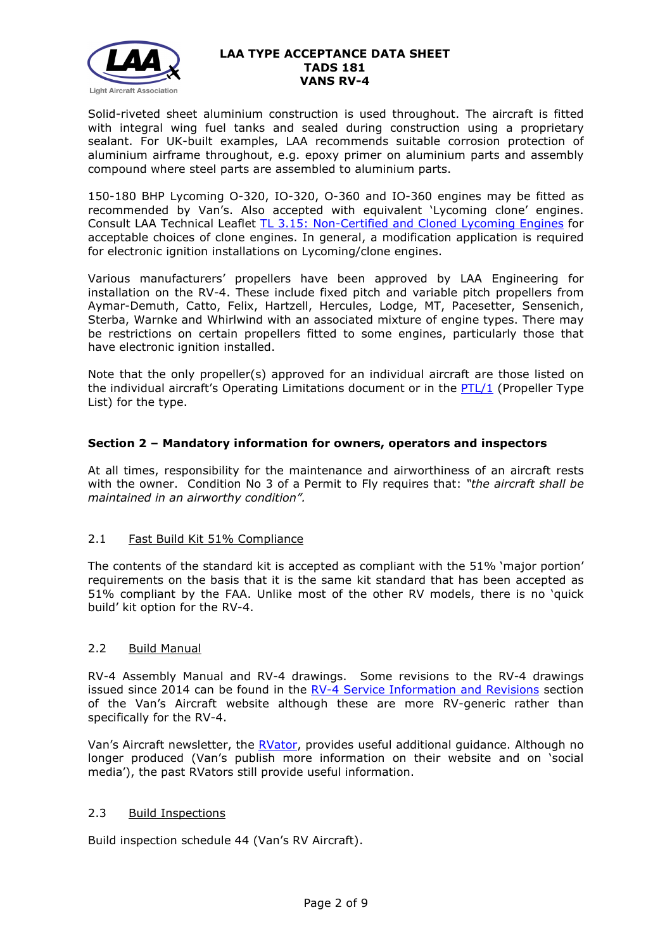

Solid-riveted sheet aluminium construction is used throughout. The aircraft is fitted with integral wing fuel tanks and sealed during construction using a proprietary sealant. For UK-built examples, LAA recommends suitable corrosion protection of aluminium airframe throughout, e.g. epoxy primer on aluminium parts and assembly compound where steel parts are assembled to aluminium parts.

150-180 BHP Lycoming O-320, IO-320, O-360 and IO-360 engines may be fitted as recommended by Van's. Also accepted with equivalent 'Lycoming clone' engines. Consult LAA Technical Leaflet [TL 3.15: Non-Certified and](http://www.lightaircraftassociation.co.uk/engineering/TechnicalLeaflets/Mods%20and%20Repairs/TL%203.15%20Non-certified%20Lycoming%20Engines.pdf) Cloned Lycoming Engines for acceptable choices of clone engines. In general, a modification application is required for electronic ignition installations on Lycoming/clone engines.

Various manufacturers' propellers have been approved by LAA Engineering for installation on the RV-4. These include fixed pitch and variable pitch propellers from Aymar-Demuth, Catto, Felix, Hartzell, Hercules, Lodge, MT, Pacesetter, Sensenich, Sterba, Warnke and Whirlwind with an associated mixture of engine types. There may be restrictions on certain propellers fitted to some engines, particularly those that have electronic ignition installed.

Note that the only propeller(s) approved for an individual aircraft are those listed on the individual aircraft's Operating Limitations document or in the  $PTL/1$  (Propeller Type List) for the type.

## **Section 2 – Mandatory information for owners, operators and inspectors**

At all times, responsibility for the maintenance and airworthiness of an aircraft rests with the owner. Condition No 3 of a Permit to Fly requires that: *"the aircraft shall be maintained in an airworthy condition".* 

### 2.1 Fast Build Kit 51% Compliance

The contents of the standard kit is accepted as compliant with the 51% 'major portion' requirements on the basis that it is the same kit standard that has been accepted as 51% compliant by the FAA. Unlike most of the other RV models, there is no 'quick build' kit option for the RV-4.

### 2.2 Build Manual

RV-4 Assembly Manual and RV-4 drawings. Some revisions to the RV-4 drawings issued since 2014 can be found in the [RV-4 Service Information and Revisions](https://www.vansaircraft.com/service-information-and-revisions/?aircraft=rv-4&doctype=all&sort=date) section of the Van's Aircraft website although these are more RV-generic rather than specifically for the RV-4.

Van's Aircraft newsletter, the [RVator,](https://www.vansaircraft.com/rvator/) provides useful additional guidance. Although no longer produced (Van's publish more information on their website and on 'social media'), the past RVators still provide useful information.

### 2.3 Build Inspections

Build inspection schedule 44 (Van's RV Aircraft).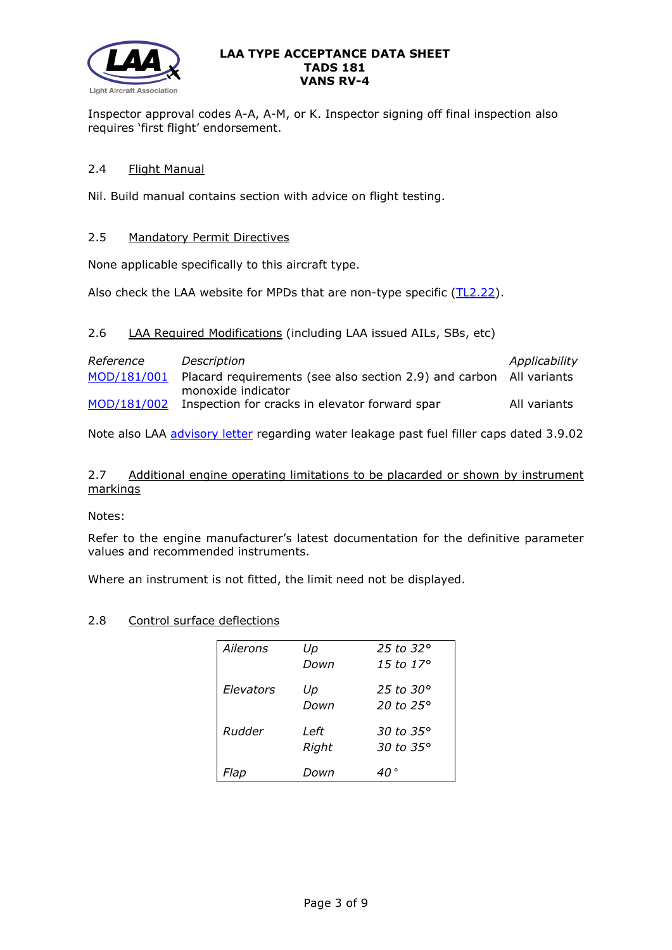

Inspector approval codes A-A, A-M, or K. Inspector signing off final inspection also requires 'first flight' endorsement.

# 2.4 Flight Manual

Nil. Build manual contains section with advice on flight testing.

## 2.5 Mandatory Permit Directives

None applicable specifically to this aircraft type.

Also check the LAA website for MPDs that are non-type specific [\(TL2.22\)](http://www.lightaircraftassociation.co.uk/engineering/TechnicalLeaflets/Operating%20An%20Aircraft/TL%202.22%20non-type%20specific%20MPDs.pdf).

# 2.6 LAA Required Modifications (including LAA issued AILs, SBs, etc)

| Reference   | Description                                                         | Applicability |
|-------------|---------------------------------------------------------------------|---------------|
| MOD/181/001 | Placard requirements (see also section 2.9) and carbon All variants |               |
|             | monoxide indicator                                                  |               |
| MOD/181/002 | Inspection for cracks in elevator forward spar                      | All variants  |

Note also LAA [advisory letter](http://www.lightaircraftassociation.co.uk/engineering/TADs/181/VANS%20FILLER%20CAPS.pdf) regarding water leakage past fuel filler caps dated 3.9.02

## 2.7 Additional engine operating limitations to be placarded or shown by instrument markings

### Notes:

Refer to the engine manufacturer's latest documentation for the definitive parameter values and recommended instruments.

Where an instrument is not fitted, the limit need not be displayed.

# 2.8 Control surface deflections

| Ailerons  | Up    | 25 to 32 $\circ$    |
|-----------|-------|---------------------|
|           | Down  | 15 to 17 $\degree$  |
| Elevators | Up    | 25 to 30 $^{\circ}$ |
|           | Down  | 20 to $25^\circ$    |
| Rudder    | Left  | 30 to 35 $^{\circ}$ |
|           | Right | 30 to 35°           |
| Flap      | Down  |                     |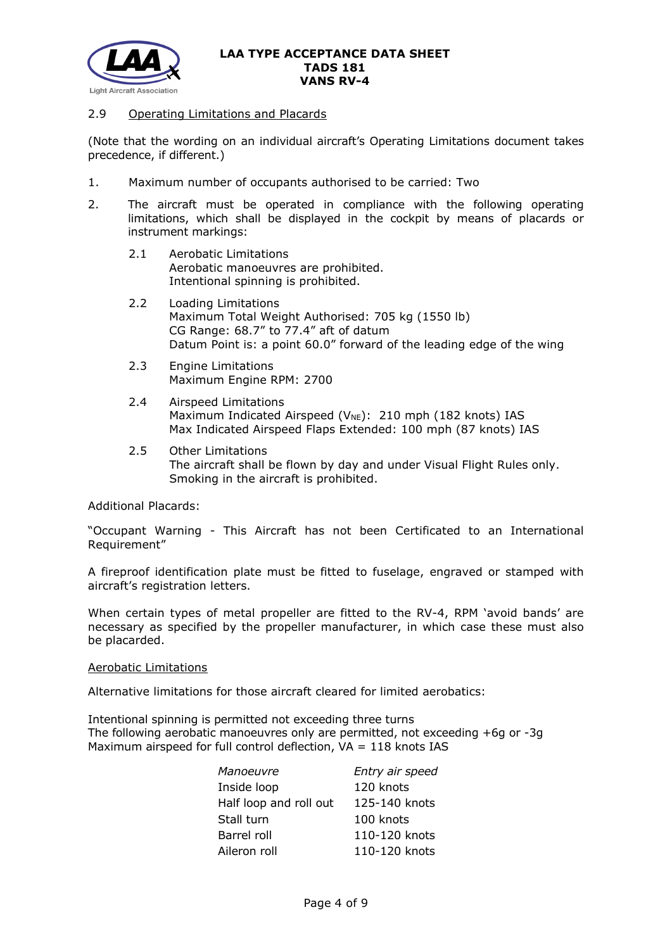

### 2.9 Operating Limitations and Placards

(Note that the wording on an individual aircraft's Operating Limitations document takes precedence, if different.)

- 1. Maximum number of occupants authorised to be carried: Two
- 2. The aircraft must be operated in compliance with the following operating limitations, which shall be displayed in the cockpit by means of placards or instrument markings:
	- 2.1 Aerobatic Limitations Aerobatic manoeuvres are prohibited. Intentional spinning is prohibited.
	- 2.2 Loading Limitations Maximum Total Weight Authorised: 705 kg (1550 lb) CG Range: 68.7" to 77.4" aft of datum Datum Point is: a point 60.0" forward of the leading edge of the wing
	- 2.3 Engine Limitations Maximum Engine RPM: 2700
	- 2.4 Airspeed Limitations Maximum Indicated Airspeed ( $V_{NE}$ ): 210 mph (182 knots) IAS Max Indicated Airspeed Flaps Extended: 100 mph (87 knots) IAS
	- 2.5 Other Limitations The aircraft shall be flown by day and under Visual Flight Rules only. Smoking in the aircraft is prohibited.

Additional Placards:

"Occupant Warning - This Aircraft has not been Certificated to an International Requirement"

A fireproof identification plate must be fitted to fuselage, engraved or stamped with aircraft's registration letters.

When certain types of metal propeller are fitted to the RV-4, RPM 'avoid bands' are necessary as specified by the propeller manufacturer, in which case these must also be placarded.

#### Aerobatic Limitations

Alternative limitations for those aircraft cleared for limited aerobatics:

Intentional spinning is permitted not exceeding three turns The following aerobatic manoeuvres only are permitted, not exceeding +6g or -3g Maximum airspeed for full control deflection,  $VA = 118$  knots IAS

| Entry air speed |
|-----------------|
| 120 knots       |
| 125-140 knots   |
| 100 knots       |
| 110-120 knots   |
| 110-120 knots   |
|                 |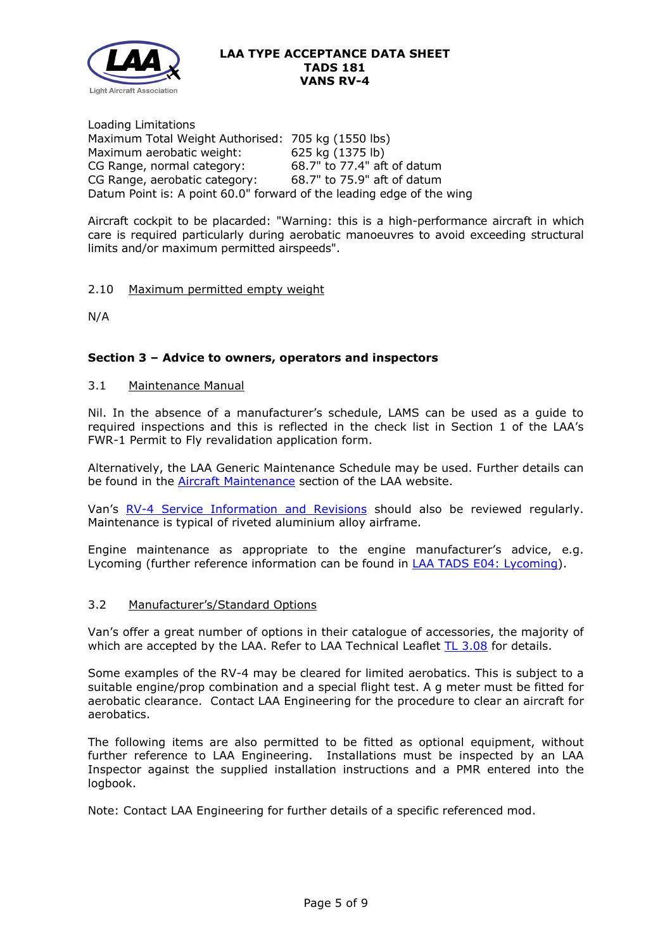

Loading Limitations Maximum Total Weight Authorised: 705 kg (1550 lbs) Maximum aerobatic weight: 625 kg (1375 lb)<br>CG Range, normal category: 68.7" to 77.4" aft of datum CG Range, normal category: CG Range, aerobatic category: 68.7" to 75.9" aft of datum Datum Point is: A point 60.0" forward of the leading edge of the wing

Aircraft cockpit to be placarded: "Warning: this is a high-performance aircraft in which care is required particularly during aerobatic manoeuvres to avoid exceeding structural limits and/or maximum permitted airspeeds".

## 2.10 Maximum permitted empty weight

N/A

## **Section 3 – Advice to owners, operators and inspectors**

### 3.1 Maintenance Manual

Nil. In the absence of a manufacturer's schedule, LAMS can be used as a guide to required inspections and this is reflected in the check list in Section 1 of the LAA's FWR-1 Permit to Fly revalidation application form.

Alternatively, the LAA Generic Maintenance Schedule may be used. Further details can be found in the [Aircraft Maintenance](http://www.lightaircraftassociation.co.uk/engineering/Maintenance/Aircraft_Maintenance.html) section of the LAA website.

Van's [RV-4 Service Information and Revisions](https://www.vansaircraft.com/service-information-and-revisions/?aircraft=rv-4&doctype=all&sort=date) should also be reviewed regularly. Maintenance is typical of riveted aluminium alloy airframe.

Engine maintenance as appropriate to the engine manufacturer's advice, e.g. Lycoming (further reference information can be found in [LAA TADS E04: Lycoming\)](http://www.lightaircraftassociation.co.uk/engineering/TADs/E04%20LYCOMING.pdf).

### 3.2 Manufacturer's/Standard Options

Van's offer a great number of options in their catalogue of accessories, the majority of which are accepted by the LAA. Refer to LAA Technical Leaflet [TL 3.08](http://www.lightaircraftassociation.co.uk/engineering/TechnicalLeaflets/Mods%20and%20Repairs/TL%203.08%20Manufacturers%20Options%20for%20Vans%20Aircraft.pdf) for details.

Some examples of the RV-4 may be cleared for limited aerobatics. This is subject to a suitable engine/prop combination and a special flight test. A g meter must be fitted for aerobatic clearance. Contact LAA Engineering for the procedure to clear an aircraft for aerobatics.

The following items are also permitted to be fitted as optional equipment, without further reference to LAA Engineering. Installations must be inspected by an LAA Inspector against the supplied installation instructions and a PMR entered into the logbook.

Note: Contact LAA Engineering for further details of a specific referenced mod.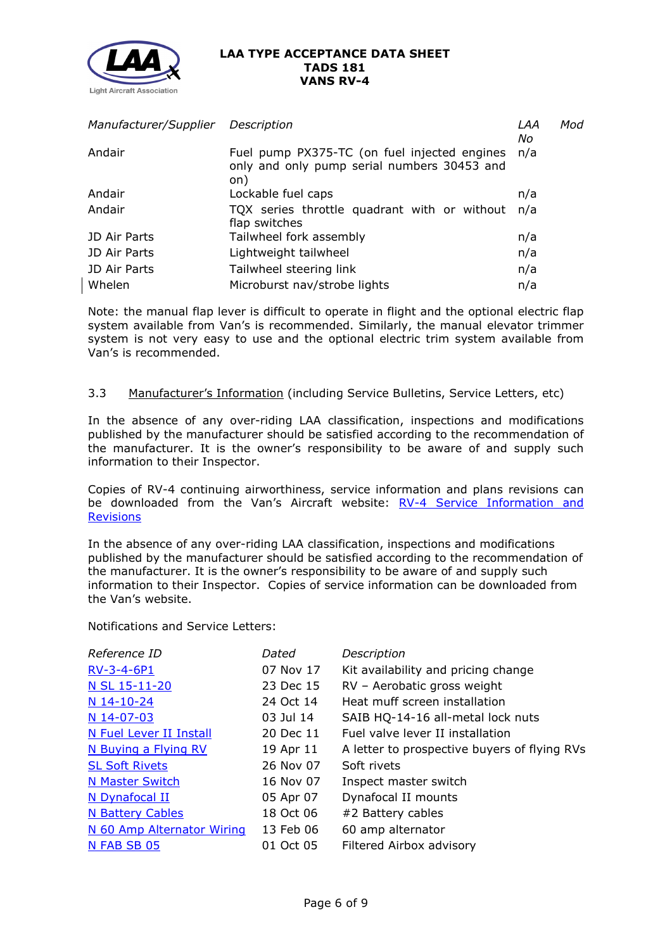

| Manufacturer/Supplier Description |                                                                                                    | LAA<br>No | Mod |
|-----------------------------------|----------------------------------------------------------------------------------------------------|-----------|-----|
| Andair                            | Fuel pump PX375-TC (on fuel injected engines<br>only and only pump serial numbers 30453 and<br>on) | n/a       |     |
| Andair                            | Lockable fuel caps                                                                                 | n/a       |     |
| Andair                            | TQX series throttle quadrant with or without<br>flap switches                                      | n/a       |     |
| JD Air Parts                      | Tailwheel fork assembly                                                                            | n/a       |     |
| JD Air Parts                      | Lightweight tailwheel                                                                              | n/a       |     |
| JD Air Parts                      | Tailwheel steering link                                                                            | n/a       |     |
| Whelen                            | Microburst nav/strobe lights                                                                       | n/a       |     |

Note: the manual flap lever is difficult to operate in flight and the optional electric flap system available from Van's is recommended. Similarly, the manual elevator trimmer system is not very easy to use and the optional electric trim system available from Van's is recommended.

## 3.3 Manufacturer's Information (including Service Bulletins, Service Letters, etc)

In the absence of any over-riding LAA classification, inspections and modifications published by the manufacturer should be satisfied according to the recommendation of the manufacturer. It is the owner's responsibility to be aware of and supply such information to their Inspector.

Copies of RV-4 continuing airworthiness, service information and plans revisions can be downloaded from the Van's Aircraft website: [RV-4 Service Information and](https://www.vansaircraft.com/service-information-and-revisions/?aircraft=rv-4&doctype=all&sort=date)  **[Revisions](https://www.vansaircraft.com/service-information-and-revisions/?aircraft=rv-4&doctype=all&sort=date)** 

In the absence of any over-riding LAA classification, inspections and modifications published by the manufacturer should be satisfied according to the recommendation of the manufacturer. It is the owner's responsibility to be aware of and supply such information to their Inspector. Copies of service information can be downloaded from the Van's website.

Notifications and Service Letters:

| Reference ID               | Dated     | Description                                  |
|----------------------------|-----------|----------------------------------------------|
| RV-3-4-6P1                 | 07 Nov 17 | Kit availability and pricing change          |
| N SL 15-11-20              | 23 Dec 15 | RV - Aerobatic gross weight                  |
| N 14-10-24                 | 24 Oct 14 | Heat muff screen installation                |
| N 14-07-03                 | 03 Jul 14 | SAIB HQ-14-16 all-metal lock nuts            |
| N Fuel Lever II Install    | 20 Dec 11 | Fuel valve lever II installation             |
| N Buying a Flying RV       | 19 Apr 11 | A letter to prospective buyers of flying RVs |
| <b>SL Soft Rivets</b>      | 26 Nov 07 | Soft rivets                                  |
| <b>N Master Switch</b>     | 16 Nov 07 | Inspect master switch                        |
| N Dynafocal II             | 05 Apr 07 | Dynafocal II mounts                          |
| <b>N Battery Cables</b>    | 18 Oct 06 | #2 Battery cables                            |
| N 60 Amp Alternator Wiring | 13 Feb 06 | 60 amp alternator                            |
| N FAB SB 05                | 01 Oct 05 | Filtered Airbox advisory                     |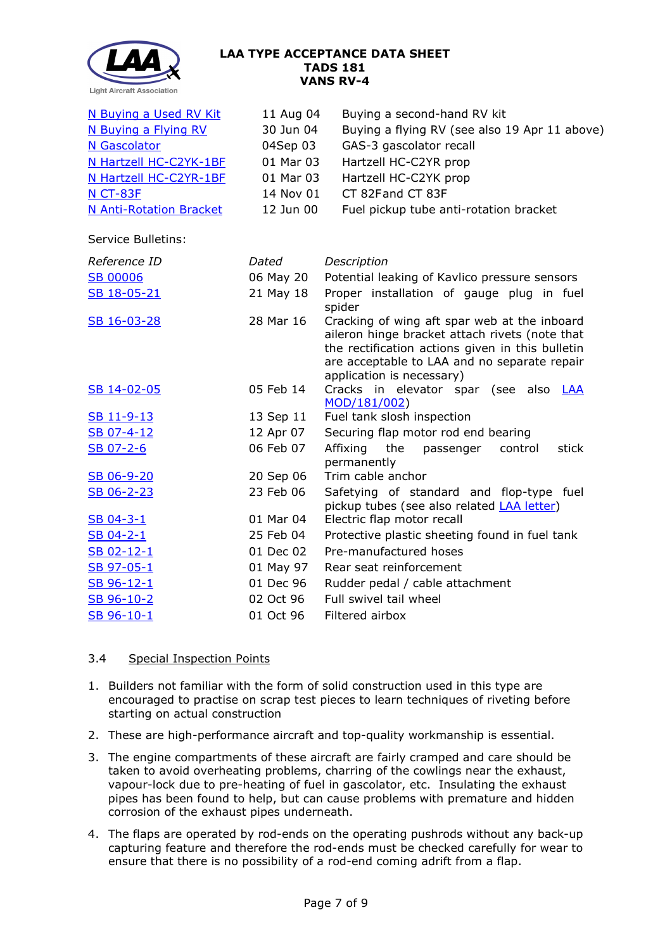

| N Buying a Used RV Kit<br>N Buying a Flying RV | 11 Aug 04<br>30 Jun 04 | Buying a second-hand RV kit<br>Buying a flying RV (see also 19 Apr 11 above)                                                                                                                                                    |
|------------------------------------------------|------------------------|---------------------------------------------------------------------------------------------------------------------------------------------------------------------------------------------------------------------------------|
| N Gascolator                                   | 04Sep 03               | GAS-3 gascolator recall                                                                                                                                                                                                         |
| N Hartzell HC-C2YK-1BF                         | 01 Mar 03              | Hartzell HC-C2YR prop                                                                                                                                                                                                           |
| N Hartzell HC-C2YR-1BF                         | 01 Mar 03              | Hartzell HC-C2YK prop                                                                                                                                                                                                           |
| <b>N CT-83F</b>                                | 14 Nov 01              | CT 82Fand CT 83F                                                                                                                                                                                                                |
| <b>N Anti-Rotation Bracket</b>                 | 12 Jun 00              | Fuel pickup tube anti-rotation bracket                                                                                                                                                                                          |
| <b>Service Bulletins:</b>                      |                        |                                                                                                                                                                                                                                 |
| Reference ID                                   | Dated                  | Description                                                                                                                                                                                                                     |
| <b>SB 00006</b>                                | 06 May 20              | Potential leaking of Kavlico pressure sensors                                                                                                                                                                                   |
| SB 18-05-21                                    | 21 May 18              | Proper installation of gauge plug in fuel<br>spider                                                                                                                                                                             |
| SB 16-03-28                                    | 28 Mar 16              | Cracking of wing aft spar web at the inboard<br>aileron hinge bracket attach rivets (note that<br>the rectification actions given in this bulletin<br>are acceptable to LAA and no separate repair<br>application is necessary) |
| SB 14-02-05                                    | 05 Feb 14              | Cracks in elevator spar (see also LAA<br>MOD/181/002)                                                                                                                                                                           |
| SB 11-9-13                                     | 13 Sep 11              | Fuel tank slosh inspection                                                                                                                                                                                                      |
| SB 07-4-12                                     | 12 Apr 07              | Securing flap motor rod end bearing                                                                                                                                                                                             |
| SB 07-2-6                                      | 06 Feb 07              | Affixing<br>the<br>passenger<br>control<br>stick<br>permanently                                                                                                                                                                 |
| SB 06-9-20                                     | 20 Sep 06              | Trim cable anchor                                                                                                                                                                                                               |
| SB 06-2-23                                     | 23 Feb 06              | Safetying of standard and flop-type fuel<br>pickup tubes (see also related <b>LAA letter)</b>                                                                                                                                   |
| SB 04-3-1                                      | 01 Mar 04              | Electric flap motor recall                                                                                                                                                                                                      |
| SB 04-2-1                                      | 25 Feb 04              | Protective plastic sheeting found in fuel tank                                                                                                                                                                                  |
| SB 02-12-1                                     | 01 Dec 02              | Pre-manufactured hoses                                                                                                                                                                                                          |
| SB 97-05-1                                     | 01 May 97              | Rear seat reinforcement                                                                                                                                                                                                         |
| SB 96-12-1                                     | 01 Dec 96              | Rudder pedal / cable attachment                                                                                                                                                                                                 |
| SB 96-10-2                                     | 02 Oct 96              | Full swivel tail wheel                                                                                                                                                                                                          |
| SB 96-10-1                                     | 01 Oct 96              | Filtered airbox                                                                                                                                                                                                                 |

# 3.4 Special Inspection Points

- 1. Builders not familiar with the form of solid construction used in this type are encouraged to practise on scrap test pieces to learn techniques of riveting before starting on actual construction
- 2. These are high-performance aircraft and top-quality workmanship is essential.
- 3. The engine compartments of these aircraft are fairly cramped and care should be taken to avoid overheating problems, charring of the cowlings near the exhaust, vapour-lock due to pre-heating of fuel in gascolator, etc. Insulating the exhaust pipes has been found to help, but can cause problems with premature and hidden corrosion of the exhaust pipes underneath.
- 4. The flaps are operated by rod-ends on the operating pushrods without any back-up capturing feature and therefore the rod-ends must be checked carefully for wear to ensure that there is no possibility of a rod-end coming adrift from a flap.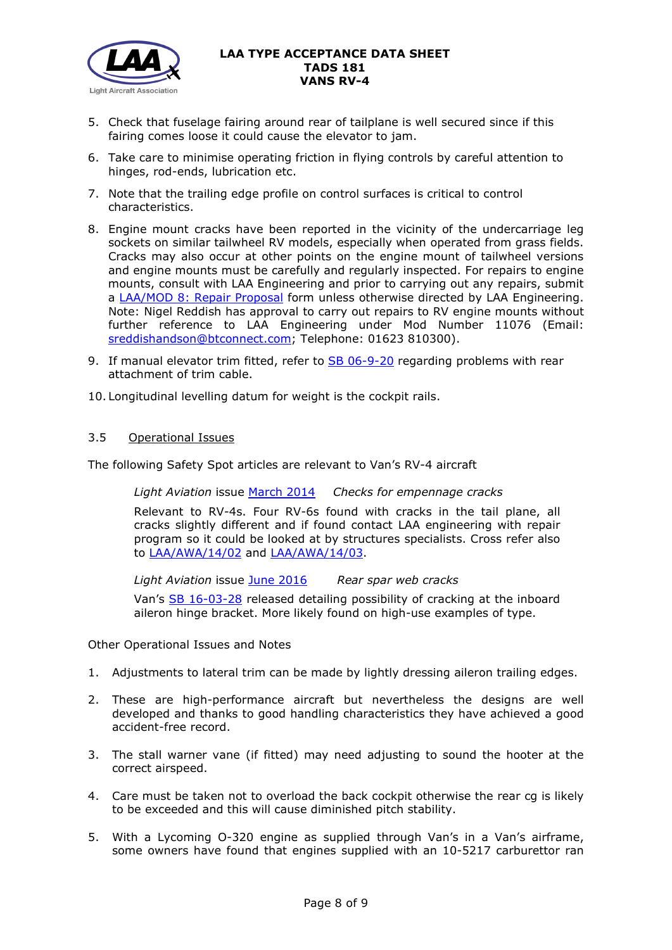

- 5. Check that fuselage fairing around rear of tailplane is well secured since if this fairing comes loose it could cause the elevator to jam.
- 6. Take care to minimise operating friction in flying controls by careful attention to hinges, rod-ends, lubrication etc.
- 7. Note that the trailing edge profile on control surfaces is critical to control characteristics.
- 8. Engine mount cracks have been reported in the vicinity of the undercarriage leg sockets on similar tailwheel RV models, especially when operated from grass fields. Cracks may also occur at other points on the engine mount of tailwheel versions and engine mounts must be carefully and regularly inspected. For repairs to engine mounts, consult with LAA Engineering and prior to carrying out any repairs, submit a [LAA/MOD 8: Repair Proposal](http://www.lightaircraftassociation.co.uk/engineering/StandardForms/LAA-MOD%208%20-%20Repair.pdf) form unless otherwise directed by LAA Engineering. Note: Nigel Reddish has approval to carry out repairs to RV engine mounts without further reference to LAA Engineering under Mod Number 11076 (Email: [sreddishandson@btconnect.com;](mailto:sreddishandson@btconnect.com) Telephone: 01623 810300).
- 9. If manual elevator trim fitted, refer to [SB 06-9-20](http://www.lightaircraftassociation.co.uk/engineering/TADs/181/sb06-9-20.pdf) regarding problems with rear attachment of trim cable.

10. Longitudinal levelling datum for weight is the cockpit rails.

## 3.5 Operational Issues

The following Safety Spot articles are relevant to Van's RV-4 aircraft

*Light Aviation* issue [March 2014](http://www.lightaircraftassociation.co.uk/2014/Mag/Mar/safetyspot_mar.pdf) *Checks for empennage cracks*

Relevant to RV-4s. Four RV-6s found with cracks in the tail plane, all cracks slightly different and if found contact LAA engineering with repair program so it could be looked at by structures specialists. Cross refer also to [LAA/AWA/14/02](http://www.lightaircraftassociation.co.uk/MM/LAA%20AWA%2014%2002.pdf) and [LAA/AWA/14/03.](http://www.lightaircraftassociation.co.uk/MM/LAA%20AWA%2014%2003.pdf)

*Light Aviation* issue [June 2016](http://www.lightaircraftassociation.co.uk/2016/Magazine/June/safety_spot.pdf) *Rear spar web cracks*

Van's [SB 16-03-28](http://www.lightaircraftassociation.co.uk/engineering/TADs/181/sb16-03-28.pdf) released detailing possibility of cracking at the inboard aileron hinge bracket. More likely found on high-use examples of type.

Other Operational Issues and Notes

- 1. Adjustments to lateral trim can be made by lightly dressing aileron trailing edges.
- 2. These are high-performance aircraft but nevertheless the designs are well developed and thanks to good handling characteristics they have achieved a good accident-free record.
- 3. The stall warner vane (if fitted) may need adjusting to sound the hooter at the correct airspeed.
- 4. Care must be taken not to overload the back cockpit otherwise the rear cg is likely to be exceeded and this will cause diminished pitch stability.
- 5. With a Lycoming O-320 engine as supplied through Van's in a Van's airframe, some owners have found that engines supplied with an 10-5217 carburettor ran